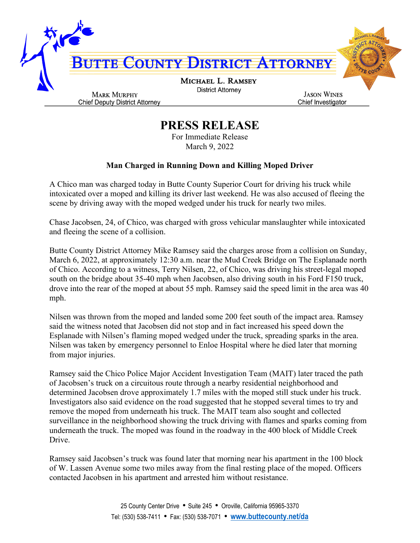

## **PRESS RELEASE**

For Immediate Release March 9, 2022

## **Man Charged in Running Down and Killing Moped Driver**

A Chico man was charged today in Butte County Superior Court for driving his truck while intoxicated over a moped and killing its driver last weekend. He was also accused of fleeing the scene by driving away with the moped wedged under his truck for nearly two miles.

Chase Jacobsen, 24, of Chico, was charged with gross vehicular manslaughter while intoxicated and fleeing the scene of a collision.

Butte County District Attorney Mike Ramsey said the charges arose from a collision on Sunday, March 6, 2022, at approximately 12:30 a.m. near the Mud Creek Bridge on The Esplanade north of Chico. According to a witness, Terry Nilsen, 22, of Chico, was driving his street-legal moped south on the bridge about 35-40 mph when Jacobsen, also driving south in his Ford F150 truck, drove into the rear of the moped at about 55 mph. Ramsey said the speed limit in the area was 40 mph.

Nilsen was thrown from the moped and landed some 200 feet south of the impact area. Ramsey said the witness noted that Jacobsen did not stop and in fact increased his speed down the Esplanade with Nilsen's flaming moped wedged under the truck, spreading sparks in the area. Nilsen was taken by emergency personnel to Enloe Hospital where he died later that morning from major injuries.

Ramsey said the Chico Police Major Accident Investigation Team (MAIT) later traced the path of Jacobsen's truck on a circuitous route through a nearby residential neighborhood and determined Jacobsen drove approximately 1.7 miles with the moped still stuck under his truck. Investigators also said evidence on the road suggested that he stopped several times to try and remove the moped from underneath his truck. The MAIT team also sought and collected surveillance in the neighborhood showing the truck driving with flames and sparks coming from underneath the truck. The moped was found in the roadway in the 400 block of Middle Creek Drive.

Ramsey said Jacobsen's truck was found later that morning near his apartment in the 100 block of W. Lassen Avenue some two miles away from the final resting place of the moped. Officers contacted Jacobsen in his apartment and arrested him without resistance.